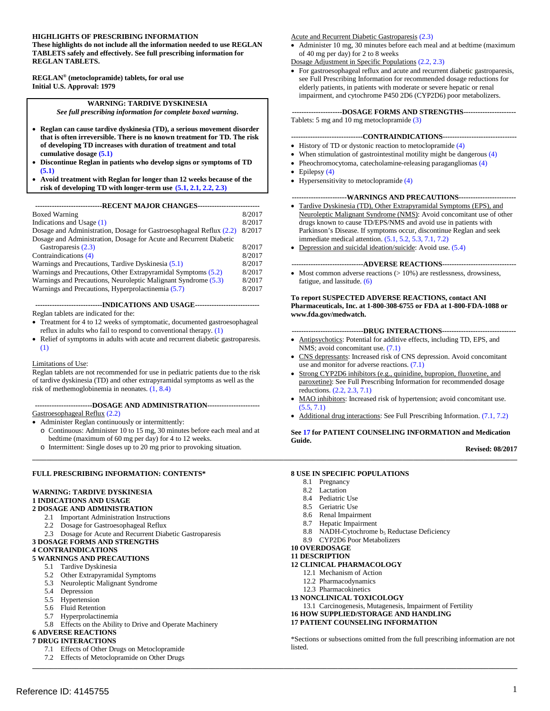#### **HIGHLIGHTS OF PRESCRIBING INFORMATION**

 **These highlights do not include all the information needed to use REGLAN TABLETS safely and effectively. See full prescribing information for REGLAN TABLETS.** 

 **REGLAN® (metoclopramide) tablets, for oral use Initial U.S. Approval: 1979** 

> **WARNING: TARDIVE DYSKINESIA**  *See full prescribing information for complete boxed warning***.**

- • **Reglan can cause tardive dyskinesia (TD), a serious movement disorder that is often irreversible. There is no known treatment for TD. The risk of developing TD increases with duration of treatment and total cumulative dosage [\(5.1\)](#page-4-0)**
- • **Discontinue Reglan in patients who develop signs or symptoms of TD [\(5.1\)](#page-4-0)**
- • **Avoid treatment with Reglan for longer than 12 weeks because of the risk of developing TD with longer-term use [\(5.1,](#page-4-0) [2.1,](#page-1-0) [2.2,](#page-1-1) [2.3\)](#page-2-0)**

 **----------------------------RECENT MAJOR CHANGES-------------------------**

| <b>Boxed Warning</b>                                                | 8/2017 |  |
|---------------------------------------------------------------------|--------|--|
| Indications and Usage $(1)$                                         | 8/2017 |  |
| Dosage and Administration, Dosage for Gastroesophageal Reflux (2.2) |        |  |
| Dosage and Administration, Dosage for Acute and Recurrent Diabetic  |        |  |
| Gastroparesis (2.3)                                                 | 8/2017 |  |
| Contraindications (4)                                               | 8/2017 |  |
| Warnings and Precautions, Tardive Dyskinesia (5.1)                  | 8/2017 |  |
| Warnings and Precautions, Other Extrapyramidal Symptoms (5.2)       |        |  |
| Warnings and Precautions, Neuroleptic Malignant Syndrome (5.3)      | 8/2017 |  |
| Warnings and Precautions, Hyperprolactinemia (5.7)                  | 8/2017 |  |
|                                                                     |        |  |

 **----------------------------INDICATIONS AND USAGE---------------------------** Reglan tablets are indicated for the:

- Treatment for 4 to 12 weeks of symptomatic, documented gastroesophageal reflux in adults who fail to respond to conventional therapy. [\(1\)](#page-1-2)
- Relief of symptoms in adults with acute and recurrent diabetic gastroparesis. [\(1\)](#page-1-2)

#### Limitations of Use:

 Reglan tablets are not recommended for use in pediatric patients due to the risk of tardive dyskinesia (TD) and other extrapyramidal symptoms as well as the risk of methemoglobinemia in neonates. [\(1,](#page-1-2) [8.4\)](#page-10-0)

#### **------------------------DOSAGE AND ADMINISTRATION----------------------** Gastroesophageal Reflux [\(2.2\)](#page-1-1)

• Administer Reglan continuously or intermittently:

- o Continuous: Administer 10 to 15 mg, 30 minutes before each meal and at bedtime (maximum of 60 mg per day) for 4 to 12 weeks.
- o Intermittent: Single doses up to 20 mg prior to provoking situation.

#### **FULL PRESCRIBING INFORMATION: CONTENTS\***

#### **WARNING: TARDIVE DYSKINESIA 1 INDICATIONS AND USAGE**

#### **2 DOSAGE AND ADMINISTRATION**

- 2.1 Important Administration Instructions
- 2.2 Dosage for Gastroesophageal Reflux
- 2.3 Dosage for Acute and Recurrent Diabetic Gastroparesis

#### **3 DOSAGE FORMS AND STRENGTHS**

#### **4 CONTRAINDICATIONS**

- **5 WARNINGS AND PRECAUTIONS** 
	- 5.1 Tardive Dyskinesia
	- 5.2 Other Extrapyramidal Symptoms
	- 5.3 Neuroleptic Malignant Syndrome
	- 5.4 Depression
	- 5.5 Hypertension
	- 5.6 Fluid Retention
	- 5.7 Hyperprolactinemia
	- 5.8 Effects on the Ability to Drive and Operate Machinery

#### **6 ADVERSE REACTIONS**

- **7 DRUG INTERACTIONS** 
	- 7.1 Effects of Other Drugs on Metoclopramide 7.2 Effects of Metoclopramide on Other Drugs

Acute and Recurrent Diabetic Gastroparesis [\(2.3\)](#page-2-0)

• Administer 10 mg, 30 minutes before each meal and at bedtime (maximum of 40 mg per day) for 2 to 8 weeks

#### Dosage Adjustment in Specific Populations [\(2.2,](#page-1-1) [2.3\)](#page-2-0)

 • For gastroesophageal reflux and acute and recurrent diabetic gastroparesis, see Full Prescribing Information for recommended dosage reductions for elderly patients, in patients with moderate or severe hepatic or renal impairment, and cytochrome P450 2D6 (CYP2D6) poor metabolizers.

 **---------------------DOSAGE FORMS AND STRENGTHS---------------------** Tablets: 5 mg and 10 mg metoclopramide [\(3\)](#page-3-1)

#### **------------------------------CONTRAINDICATIONS------------------------------**

- History of TD or dystonic reaction to metoclopramide [\(4\)](#page-3-0)
- When stimulation of gastrointestinal motility might be dangerous [\(4\)](#page-3-0)
- Pheochromocytoma, catecholamine-releasing paragangliomas [\(4\)](#page-3-0)
- Epilepsy  $(4)$
- Hypersensitivity to metoclopramide [\(4\)](#page-3-0)

#### **-----------------------WARNINGS AND PRECAUTIONS-----------------------**

- Tardive Dyskinesia (TD), Other Extrapyramidal Symptoms (EPS), and Neuroleptic Malignant Syndrome (NMS): Avoid concomitant use of other drugs known to cause TD/EPS/NMS and avoid use in patients with Parkinson's Disease. If symptoms occur, discontinue Reglan and seek immediate medical attention. [\(5.1,](#page-4-0) [5.2,](#page-4-1) [5.3,](#page-5-0) [7.1,](#page-8-0) [7.2\)](#page-9-0)
- Depression and suicidal ideation/suicide: Avoid use. [\(5.4\)](#page-5-1)

#### **------------------------------ADVERSE REACTIONS------------------------------**

• Most common adverse reactions  $(>10\%)$  are restlessness, drowsiness, fatigue, and lassitude. [\(6\)](#page-6-1)

#### **To report SUSPECTED ADVERSE REACTIONS, contact ANI Pharmaceuticals, Inc. at 1-800-308-6755 or FDA at 1-800-FDA-1088 or www.fda.gov/medwatch.**

#### **------------------------------DRUG INTERACTIONS------------------------------**

- Antipsychotics: Potential for additive effects, including TD, EPS, and NMS; avoid concomitant use. [\(7.1\)](#page-8-0)
- CNS depressants: Increased risk of CNS depression. Avoid concomitant use and monitor for adverse reactions. [\(7.1\)](#page-8-0)
- Strong CYP2D6 inhibitors (e.g., quinidine, bupropion, fluoxetine, and paroxetine): See Full Prescribing Information for recommended dosage reductions. [\(2.2,](#page-1-1) [2.3,](#page-2-0) [7.1\)](#page-8-0)
- MAO inhibitors: Increased risk of hypertension; avoid concomitant use. [\(5.5,](#page-6-2) [7.1\)](#page-8-0)
- Additional drug interactions: See Full Prescribing Information. [\(7.1,](#page-8-0) [7.2\)](#page-9-0)

#### **Se[e 17 f](#page-16-0)or PATIENT COUNSELING INFORMATION and Medication Guide.**

**Revised: 08/2017** 

#### **8 USE IN SPECIFIC POPULATIONS**

8.1 Pregnancy

**\_\_\_\_\_\_\_\_\_\_\_\_\_\_\_\_\_\_\_\_\_\_\_\_\_\_\_\_\_\_\_\_\_\_\_\_\_\_\_\_\_\_\_\_\_\_\_\_\_\_\_\_\_\_\_\_\_\_\_\_\_\_\_\_\_\_\_\_\_\_\_\_\_\_\_\_\_\_\_\_\_\_\_\_\_\_\_\_\_\_\_\_\_\_\_\_\_\_\_\_\_\_\_\_\_\_\_\_\_\_\_\_\_\_\_\_\_\_\_\_\_\_\_\_\_\_\_\_\_\_\_\_\_\_\_** 

**\_\_\_\_\_\_\_\_\_\_\_\_\_\_\_\_\_\_\_\_\_\_\_\_\_\_\_\_\_\_\_\_\_\_\_\_\_\_\_\_\_\_\_\_\_\_\_\_\_\_\_\_\_\_\_\_\_\_\_\_\_\_\_\_\_\_\_\_\_\_\_\_\_\_\_\_\_\_\_\_\_\_\_\_\_\_\_\_\_\_\_\_\_\_\_\_\_\_\_\_\_\_\_\_\_\_\_\_\_\_\_\_\_\_\_\_\_\_\_\_\_\_\_\_\_\_\_\_\_\_\_\_\_\_\_** 

- 8.2 Lactation
- 8.4 Pediatric Use
- 8.5 Geriatric Use
- 8.6 Renal Impairment
- 8.7 Hepatic Impairment
- 8.8 NADH-Cytochrome b<sub>5</sub> Reductase Deficiency
- 8.9 CYP2D6 Poor Metabolizers

#### **10 OVERDOSAGE**

#### **11 DESCRIPTION**

#### **12 CLINICAL PHARMACOLOGY**

- 12.1 Mechanism of Action
- 12.2 Pharmacodynamics
- 12.3 Pharmacokinetics
- **13 NONCLINICAL TOXICOLOGY**
- 13.1 Carcinogenesis, Mutagenesis, Impairment of Fertility
- **16 HOW SUPPLIED/STORAGE AND HANDLING**

#### **17 PATIENT COUNSELING INFORMATION**

 \*Sections or subsections omitted from the full prescribing information are not listed.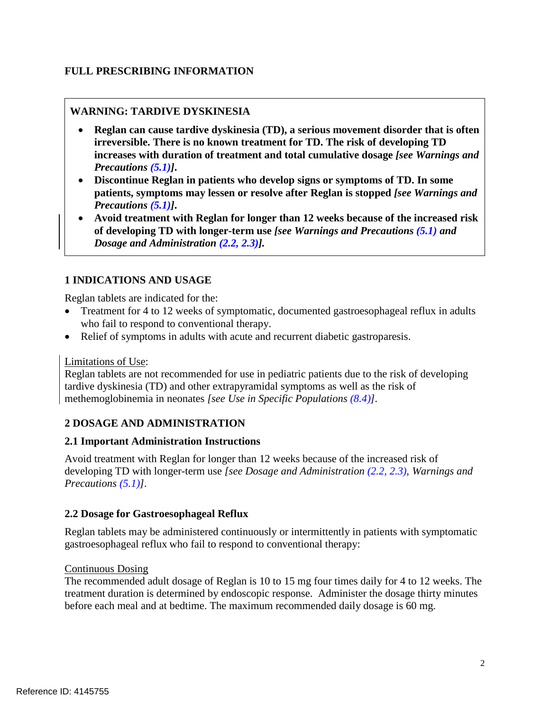# **FULL PRESCRIBING INFORMATION**

# **WARNING: TARDIVE DYSKINESIA**

- • **Reglan can cause tardive dyskinesia (TD), a serious movement disorder that is often irreversible. There is no known treatment for TD. The risk of developing TD increases with duration of treatment and total cumulative dosage** *[see Warnings and*   *Precautions [\(5.1\)](#page-4-0)]***.**
- • **Discontinue Reglan in patients who develop signs or symptoms of TD. In some patients, symptoms may lessen or resolve after Reglan is stopped** *[see Warnings and Precautions [\(5.1\)](#page-4-0)]***.**
- • **Avoid treatment with Reglan for longer than 12 weeks because of the increased risk of developing TD with longer-term use** *[see Warnings and Precautions [\(5.1\)](#page-4-0) and Dosage and Administration [\(2.2,](#page-1-1) [2.3\)](#page-2-0)].*

# <span id="page-1-2"></span> **1 INDICATIONS AND USAGE**

Reglan tablets are indicated for the:

- Treatment for 4 to 12 weeks of symptomatic, documented gastroesophageal reflux in adults who fail to respond to conventional therapy.
- Relief of symptoms in adults with acute and recurrent diabetic gastroparesis.

## Limitations of Use:

 Reglan tablets are not recommended for use in pediatric patients due to the risk of developing tardive dyskinesia (TD) and other extrapyramidal symptoms as well as the risk of methemoglobinemia in neonates *[see Use in Specific Populations [\(8.4\)](#page-10-0)].*

# **2 DOSAGE AND ADMINISTRATION**

# <span id="page-1-0"></span> **2.1 Important Administration Instructions**

 Avoid treatment with Reglan for longer than 12 weeks because of the increased risk of developing TD with longer-term use *[see Dosage and Administration [\(2.2,](#page-1-1) [2.3\)](#page-2-0), Warnings and Precautions [\(5.1\)](#page-4-0)].* 

# <span id="page-1-3"></span><span id="page-1-1"></span> **2.2 Dosage for Gastroesophageal Reflux**

 Reglan tablets may be administered continuously or intermittently in patients with symptomatic gastroesophageal reflux who fail to respond to conventional therapy:

## **Continuous Dosing**

 The recommended adult dosage of Reglan is 10 to 15 mg four times daily for 4 to 12 weeks. The treatment duration is determined by endoscopic response. Administer the dosage thirty minutes before each meal and at bedtime. The maximum recommended daily dosage is 60 mg.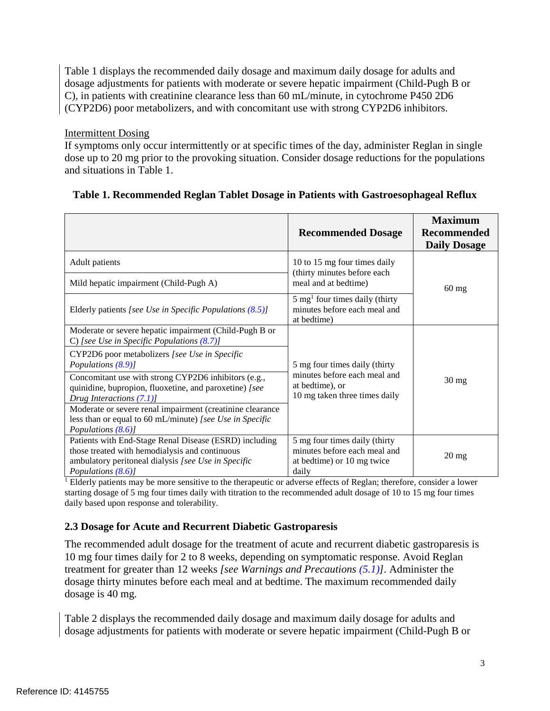Table 1 displays the recommended daily dosage and maximum daily dosage for adults and dosage adjustments for patients with moderate or severe hepatic impairment (Child-Pugh B or C), in patients with creatinine clearance less than 60 mL/minute, in cytochrome P450 2D6 (CYP2D6) poor metabolizers, and with concomitant use with strong CYP2D6 inhibitors.

# Intermittent Dosing

 If symptoms only occur intermittently or at specific times of the day, administer Reglan in single dose up to 20 mg prior to the provoking situation. Consider dosage reductions for the populations and situations in Table 1.

|                                                                                                                                                                                       | <b>Recommended Dosage</b>                                                                            | <b>Maximum</b><br><b>Recommended</b><br><b>Daily Dosage</b> |  |
|---------------------------------------------------------------------------------------------------------------------------------------------------------------------------------------|------------------------------------------------------------------------------------------------------|-------------------------------------------------------------|--|
| Adult patients                                                                                                                                                                        | 10 to 15 mg four times daily                                                                         |                                                             |  |
| Mild hepatic impairment (Child-Pugh A)                                                                                                                                                | (thirty minutes before each<br>meal and at bedtime)                                                  | $60$ mg                                                     |  |
| Elderly patients [see Use in Specific Populations $(8.5)$ ]                                                                                                                           | $5 \text{ mg}^1$ four times daily (thirty<br>minutes before each meal and<br>at bedtime)             |                                                             |  |
| Moderate or severe hepatic impairment (Child-Pugh B or<br>C) [see Use in Specific Populations $(8.7)$ ]                                                                               |                                                                                                      |                                                             |  |
| CYP2D6 poor metabolizers [see Use in Specific<br>Populations (8.9)]                                                                                                                   | 5 mg four times daily (thirty                                                                        |                                                             |  |
| Concomitant use with strong CYP2D6 inhibitors (e.g.,<br>quinidine, bupropion, fluoxetine, and paroxetine) [see<br>Drug Interactions $(7.1)$ ]                                         | minutes before each meal and<br>at bedtime), or<br>10 mg taken three times daily                     | 30 mg                                                       |  |
| Moderate or severe renal impairment (creatinine clearance<br>less than or equal to 60 mL/minute) [see Use in Specific<br>Populations (8.6)]                                           |                                                                                                      |                                                             |  |
| Patients with End-Stage Renal Disease (ESRD) including<br>those treated with hemodialysis and continuous<br>ambulatory peritoneal dialysis [see Use in Specific<br>Populations (8.6)] | 5 mg four times daily (thirty<br>minutes before each meal and<br>at bedtime) or 10 mg twice<br>daily | $20 \text{ mg}$                                             |  |

# **Table 1. Recommended Reglan Tablet Dosage in Patients with Gastroesophageal Reflux**

<sup>1</sup> Elderly patients may be more sensitive to the therapeutic or adverse effects of Reglan; therefore, consider a lower starting dosage of 5 mg four times daily with titration to the recommended adult dosage of 10 to 15 mg four times daily based upon response and tolerability.

# <span id="page-2-0"></span> **2.3 Dosage for Acute and Recurrent Diabetic Gastroparesis**

 The recommended adult dosage for the treatment of acute and recurrent diabetic gastroparesis is 10 mg four times daily for 2 to 8 weeks, depending on symptomatic response. Avoid Reglan treatment for greater than 12 weeks *[see Warnings and Precautions [\(5.1\)](#page-4-0)].* Administer the dosage thirty minutes before each meal and at bedtime. The maximum recommended daily dosage is 40 mg.

 Table 2 displays the recommended daily dosage and maximum daily dosage for adults and dosage adjustments for patients with moderate or severe hepatic impairment (Child-Pugh B or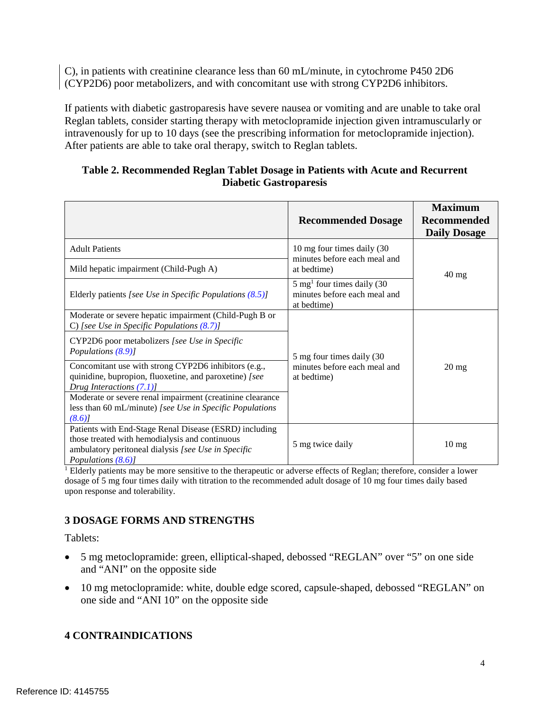C), in patients with creatinine clearance less than 60 mL/minute, in cytochrome P450 2D6 (CYP2D6) poor metabolizers, and with concomitant use with strong CYP2D6 inhibitors.

 If patients with diabetic gastroparesis have severe nausea or vomiting and are unable to take oral Reglan tablets, consider starting therapy with metoclopramide injection given intramuscularly or intravenously for up to 10 days (see the prescribing information for metoclopramide injection). After patients are able to take oral therapy, switch to Reglan tablets.

## **Table 2. Recommended Reglan Tablet Dosage in Patients with Acute and Recurrent Diabetic Gastroparesis**

|                                                                                                                                                                                       | <b>Recommended Dosage</b>                                                             | <b>Maximum</b><br><b>Recommended</b><br><b>Daily Dosage</b> |
|---------------------------------------------------------------------------------------------------------------------------------------------------------------------------------------|---------------------------------------------------------------------------------------|-------------------------------------------------------------|
| <b>Adult Patients</b>                                                                                                                                                                 | 10 mg four times daily (30<br>minutes before each meal and                            |                                                             |
| Mild hepatic impairment (Child-Pugh A)                                                                                                                                                | at bedtime)                                                                           | $40 \text{ mg}$                                             |
| Elderly patients [see Use in Specific Populations $(8.5)$ ]                                                                                                                           | $5 \text{ mg}^1$ four times daily (30)<br>minutes before each meal and<br>at bedtime) |                                                             |
| Moderate or severe hepatic impairment (Child-Pugh B or<br>C) [see Use in Specific Populations (8.7)]                                                                                  |                                                                                       |                                                             |
| CYP2D6 poor metabolizers [see Use in Specific<br>Populations (8.9)]                                                                                                                   | 5 mg four times daily (30                                                             |                                                             |
| Concomitant use with strong CYP2D6 inhibitors (e.g.,<br>quinidine, bupropion, fluoxetine, and paroxetine) [see<br>Drug Interactions (7.1)]                                            | minutes before each meal and<br>$20 \text{ mg}$<br>at bedtime)                        |                                                             |
| Moderate or severe renal impairment (creatinine clearance<br>less than 60 mL/minute) [see Use in Specific Populations<br>(8.6)                                                        |                                                                                       |                                                             |
| Patients with End-Stage Renal Disease (ESRD) including<br>those treated with hemodialysis and continuous<br>ambulatory peritoneal dialysis [see Use in Specific<br>Populations (8.6)] | 5 mg twice daily                                                                      | $10 \text{ mg}$                                             |

 $<sup>1</sup>$  Elderly patients may be more sensitive to the therapeutic or adverse effects of Reglan; therefore, consider a lower</sup> dosage of 5 mg four times daily with titration to the recommended adult dosage of 10 mg four times daily based upon response and tolerability.

# <span id="page-3-1"></span> **3 DOSAGE FORMS AND STRENGTHS**

Tablets:

- • 5 mg metoclopramide: green, elliptical-shaped, debossed "REGLAN" over "5" on one side and "ANI" on the opposite side
- 10 mg metoclopramide: white, double edge scored, capsule-shaped, debossed "REGLAN" on one side and "ANI 10" on the opposite side

# <span id="page-3-0"></span>**4 CONTRAINDICATIONS**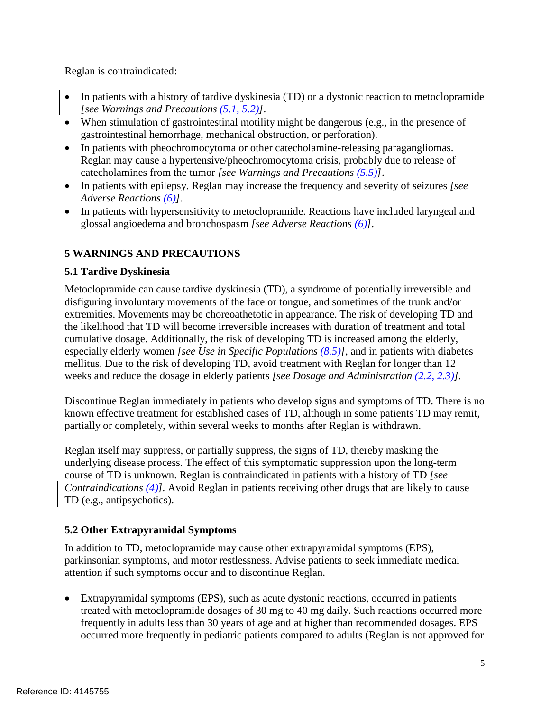Reglan is contraindicated:

- In patients with a history of tardive dyskinesia (TD) or a dystonic reaction to metoclopramide  *[see Warnings and Precautions [\(5.1,](#page-4-0) [5.2\)](#page-4-1)]*.
- When stimulation of gastrointestinal motility might be dangerous (e.g., in the presence of gastrointestinal hemorrhage, mechanical obstruction, or perforation).
- In patients with pheochromocytoma or other catecholamine-releasing paragangliomas. Reglan may cause a hypertensive/pheochromocytoma crisis, probably due to release of catecholamines from the tumor *[see Warnings and Precautions [\(5.5\)](#page-6-2)]*.
- • In patients with epilepsy. Reglan may increase the frequency and severity of seizures *[see Adverse Reactions [\(6\)](#page-6-1)]*.
- • In patients with hypersensitivity to metoclopramide. Reactions have included laryngeal and glossal angioedema and bronchospasm *[see Adverse Reactions [\(6\)](#page-6-1)]*.

# **5 WARNINGS AND PRECAUTIONS**

# <span id="page-4-0"></span>**5.1 Tardive Dyskinesia**

 Metoclopramide can cause tardive dyskinesia (TD), a syndrome of potentially irreversible and disfiguring involuntary movements of the face or tongue, and sometimes of the trunk and/or extremities. Movements may be choreoathetotic in appearance. The risk of developing TD and the likelihood that TD will become irreversible increases with duration of treatment and total cumulative dosage. Additionally, the risk of developing TD is increased among the elderly, especially elderly women *[see Use in Specific Populations [\(8.5\)](#page-11-0)]*, and in patients with diabetes mellitus. Due to the risk of developing TD, avoid treatment with Reglan for longer than 12 weeks and reduce the dosage in elderly patients *[see Dosage and Administration [\(2.2,](#page-1-1) [2.3\)](#page-2-0)].* 

 Discontinue Reglan immediately in patients who develop signs and symptoms of TD. There is no known effective treatment for established cases of TD, although in some patients TD may remit, partially or completely, within several weeks to months after Reglan is withdrawn.

 Reglan itself may suppress, or partially suppress, the signs of TD, thereby masking the underlying disease process. The effect of this symptomatic suppression upon the long-term course of TD is unknown. Reglan is contraindicated in patients with a history of TD *[see Contraindications [\(4\)](#page-3-0)].* Avoid Reglan in patients receiving other drugs that are likely to cause TD (e.g., antipsychotics).

# <span id="page-4-1"></span> **5.2 Other Extrapyramidal Symptoms**

 In addition to TD, metoclopramide may cause other extrapyramidal symptoms (EPS), parkinsonian symptoms, and motor restlessness. Advise patients to seek immediate medical attention if such symptoms occur and to discontinue Reglan.

 • Extrapyramidal symptoms (EPS), such as acute dystonic reactions, occurred in patients treated with metoclopramide dosages of 30 mg to 40 mg daily. Such reactions occurred more frequently in adults less than 30 years of age and at higher than recommended dosages. EPS occurred more frequently in pediatric patients compared to adults (Reglan is not approved for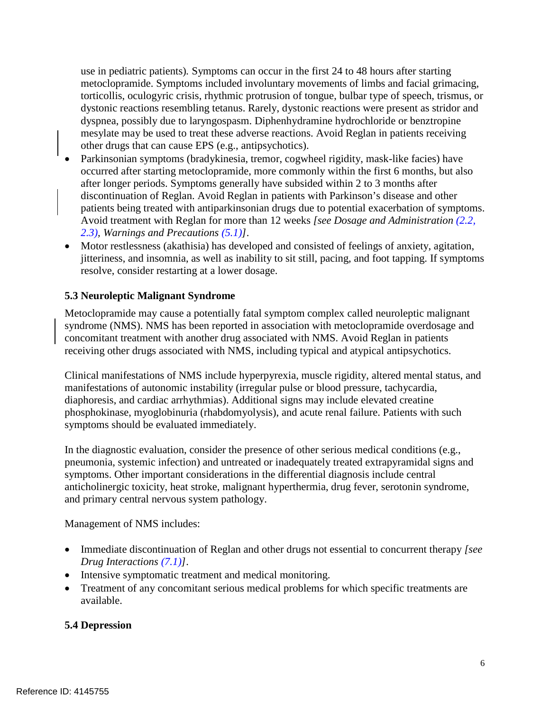use in pediatric patients)*.* Symptoms can occur in the first 24 to 48 hours after starting metoclopramide. Symptoms included involuntary movements of limbs and facial grimacing, torticollis, oculogyric crisis, rhythmic protrusion of tongue, bulbar type of speech, trismus, or dystonic reactions resembling tetanus. Rarely, dystonic reactions were present as stridor and dyspnea, possibly due to laryngospasm. Diphenhydramine hydrochloride or benztropine mesylate may be used to treat these adverse reactions. Avoid Reglan in patients receiving other drugs that can cause EPS (e.g., antipsychotics).

- • Parkinsonian symptoms (bradykinesia, tremor, cogwheel rigidity, mask-like facies) have occurred after starting metoclopramide, more commonly within the first 6 months, but also after longer periods. Symptoms generally have subsided within 2 to 3 months after discontinuation of Reglan. Avoid Reglan in patients with Parkinson's disease and other patients being treated with antiparkinsonian drugs due to potential exacerbation of symptoms. Avoid treatment with Reglan for more than 12 weeks *[see Dosage and Administration [\(2.2,](#page-1-1) [2.3\)](#page-2-0), Warnings and Precautions [\(5.1\)](#page-4-0)]*.
- • Motor restlessness (akathisia) has developed and consisted of feelings of anxiety, agitation, jitteriness, and insomnia, as well as inability to sit still, pacing, and foot tapping. If symptoms resolve, consider restarting at a lower dosage.

# <span id="page-5-0"></span> **5.3 Neuroleptic Malignant Syndrome**

 Metoclopramide may cause a potentially fatal symptom complex called neuroleptic malignant syndrome (NMS). NMS has been reported in association with metoclopramide overdosage and concomitant treatment with another drug associated with NMS. Avoid Reglan in patients receiving other drugs associated with NMS, including typical and atypical antipsychotics.

 Clinical manifestations of NMS include hyperpyrexia, muscle rigidity, altered mental status, and manifestations of autonomic instability (irregular pulse or blood pressure, tachycardia, diaphoresis, and cardiac arrhythmias). Additional signs may include elevated creatine phosphokinase, myoglobinuria (rhabdomyolysis), and acute renal failure. Patients with such symptoms should be evaluated immediately.

 In the diagnostic evaluation, consider the presence of other serious medical conditions (e.g., pneumonia, systemic infection) and untreated or inadequately treated extrapyramidal signs and symptoms. Other important considerations in the differential diagnosis include central anticholinergic toxicity, heat stroke, malignant hyperthermia, drug fever, serotonin syndrome, and primary central nervous system pathology.

Management of NMS includes:

- • Immediate discontinuation of Reglan and other drugs not essential to concurrent therapy *[see Drug Interactions [\(7.1\)](#page-8-0)]*.
- • Intensive symptomatic treatment and medical monitoring.
- • Treatment of any concomitant serious medical problems for which specific treatments are available.

# <span id="page-5-1"></span> **5.4 Depression**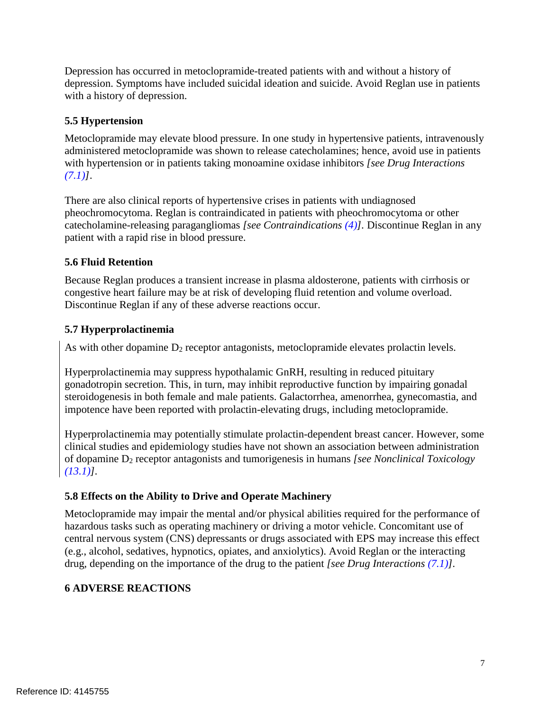Depression has occurred in metoclopramide-treated patients with and without a history of depression. Symptoms have included suicidal ideation and suicide. Avoid Reglan use in patients with a history of depression.

# <span id="page-6-2"></span>**5.5 Hypertension**

 Metoclopramide may elevate blood pressure. In one study in hypertensive patients, intravenously administered metoclopramide was shown to release catecholamines; hence, avoid use in patients with hypertension or in patients taking monoamine oxidase inhibitors *[see Drug Interactions [\(7.1\)](#page-8-0)]*.

 There are also clinical reports of hypertensive crises in patients with undiagnosed pheochromocytoma. Reglan is contraindicated in patients with pheochromocytoma or other  catecholamine-releasing paragangliomas *[see Contraindications [\(4\)](#page-3-0)].* Discontinue Reglan in any patient with a rapid rise in blood pressure.

# <span id="page-6-3"></span>**5.6 Fluid Retention**

 Because Reglan produces a transient increase in plasma aldosterone, patients with cirrhosis or congestive heart failure may be at risk of developing fluid retention and volume overload. Discontinue Reglan if any of these adverse reactions occur.

# <span id="page-6-0"></span>**5.7 Hyperprolactinemia**

As with other dopamine  $D_2$  receptor antagonists, metoclopramide elevates prolactin levels.

 Hyperprolactinemia may suppress hypothalamic GnRH, resulting in reduced pituitary gonadotropin secretion. This, in turn, may inhibit reproductive function by impairing gonadal steroidogenesis in both female and male patients. Galactorrhea, amenorrhea, gynecomastia, and impotence have been reported with prolactin-elevating drugs, including metoclopramide.

 Hyperprolactinemia may potentially stimulate prolactin-dependent breast cancer. However, some clinical studies and epidemiology studies have not shown an association between administration of dopamine D2 receptor antagonists and tumorigenesis in humans *[see Nonclinical Toxicology [\(13.1\)](#page-15-0)].* 

# <span id="page-6-4"></span> **5.8 Effects on the Ability to Drive and Operate Machinery**

 Metoclopramide may impair the mental and/or physical abilities required for the performance of hazardous tasks such as operating machinery or driving a motor vehicle. Concomitant use of central nervous system (CNS) depressants or drugs associated with EPS may increase this effect (e.g., alcohol, sedatives, hypnotics, opiates, and anxiolytics). Avoid Reglan or the interacting drug, depending on the importance of the drug to the patient *[see Drug Interactions [\(7.1\)](#page-8-0)].* 

# <span id="page-6-1"></span>**6 ADVERSE REACTIONS**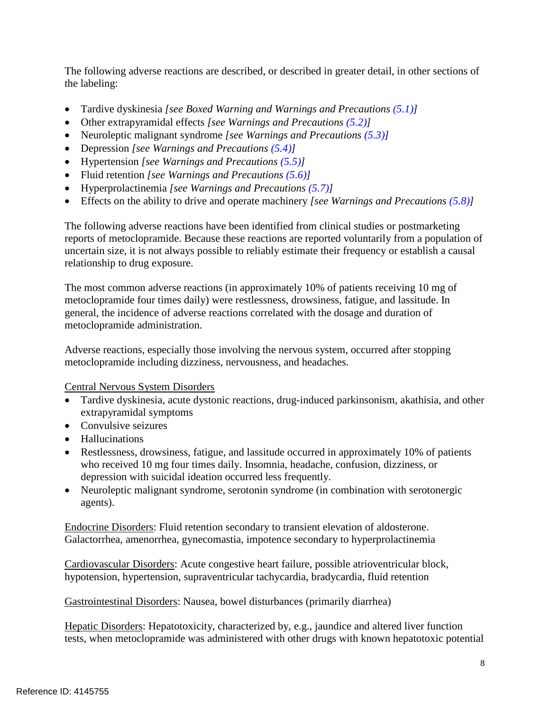The following adverse reactions are described, or described in greater detail, in other sections of the labeling:

- • Tardive dyskinesia *[see Boxed Warning and Warnings and Precautions [\(5.1\)](#page-4-0)]*
- • Other extrapyramidal effects *[see Warnings and Precautions [\(5.2\)](#page-4-1)]*
- • Neuroleptic malignant syndrome *[see Warnings and Precautions [\(5.3\)](#page-5-0)]*
- • Depression *[see Warnings and Precautions [\(5.4\)](#page-5-1)]*
- • Hypertension *[see Warnings and Precautions [\(5.5\)](#page-6-2)]*
- • Fluid retention *[see Warnings and Precautions [\(5.6\)](#page-6-3)]*
- • Hyperprolactinemia *[see Warnings and Precautions [\(5.7\)](#page-6-0)]*
- • Effects on the ability to drive and operate machinery *[see Warnings and Precautions [\(5.8\)](#page-6-4)]*

 The following adverse reactions have been identified from clinical studies or postmarketing reports of metoclopramide. Because these reactions are reported voluntarily from a population of uncertain size, it is not always possible to reliably estimate their frequency or establish a causal relationship to drug exposure.

 The most common adverse reactions (in approximately 10% of patients receiving 10 mg of metoclopramide four times daily) were restlessness, drowsiness, fatigue, and lassitude. In general, the incidence of adverse reactions correlated with the dosage and duration of metoclopramide administration.

 Adverse reactions, especially those involving the nervous system, occurred after stopping metoclopramide including dizziness, nervousness, and headaches.

Central Nervous System Disorders

- • Tardive dyskinesia, acute dystonic reactions, drug-induced parkinsonism, akathisia, and other extrapyramidal symptoms
- Convulsive seizures
- Hallucinations
- • Restlessness, drowsiness, fatigue, and lassitude occurred in approximately 10% of patients who received 10 mg four times daily. Insomnia, headache, confusion, dizziness, or depression with suicidal ideation occurred less frequently.
- Neuroleptic malignant syndrome, serotonin syndrome (in combination with serotonergic agents).

 Endocrine Disorders: Fluid retention secondary to transient elevation of aldosterone. Galactorrhea, amenorrhea, gynecomastia, impotence secondary to hyperprolactinemia

Cardiovascular Disorders: Acute congestive heart failure, possible atrioventricular block, hypotension, hypertension, supraventricular tachycardia, bradycardia, fluid retention

Gastrointestinal Disorders: Nausea, bowel disturbances (primarily diarrhea)

Hepatic Disorders: Hepatotoxicity, characterized by, e.g., jaundice and altered liver function tests, when metoclopramide was administered with other drugs with known hepatotoxic potential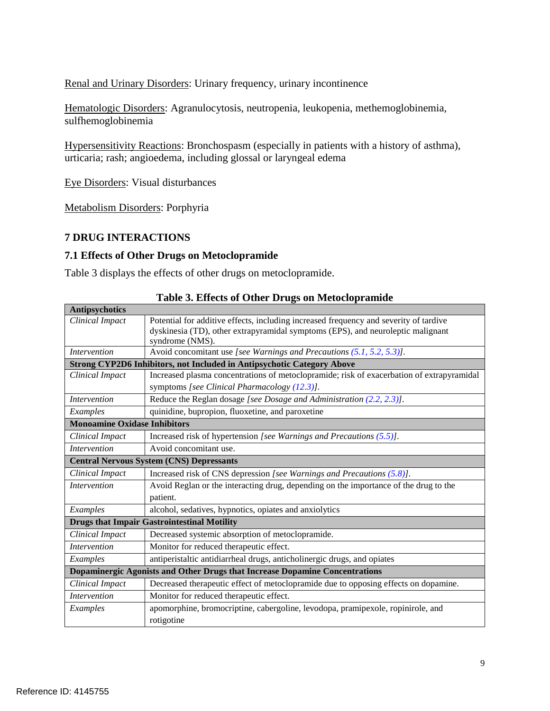Renal and Urinary Disorders: Urinary frequency, urinary incontinence

Hematologic Disorders: Agranulocytosis, neutropenia, leukopenia, methemoglobinemia, sulfhemoglobinemia

Hypersensitivity Reactions: Bronchospasm (especially in patients with a history of asthma), urticaria; rash; angioedema, including glossal or laryngeal edema

Eye Disorders: Visual disturbances

Metabolism Disorders: Porphyria

# **7 DRUG INTERACTIONS**

# <span id="page-8-0"></span> **7.1 Effects of Other Drugs on Metoclopramide**

Table 3 displays the effects of other drugs on metoclopramide.

| <b>Antipsychotics</b>                                                       |                                                                                                                                                                                             |  |  |
|-----------------------------------------------------------------------------|---------------------------------------------------------------------------------------------------------------------------------------------------------------------------------------------|--|--|
| Clinical Impact                                                             | Potential for additive effects, including increased frequency and severity of tardive<br>dyskinesia (TD), other extrapyramidal symptoms (EPS), and neuroleptic malignant<br>syndrome (NMS). |  |  |
| <i>Intervention</i>                                                         | Avoid concomitant use [see Warnings and Precautions (5.1, 5.2, 5.3)].                                                                                                                       |  |  |
| Strong CYP2D6 Inhibitors, not Included in Antipsychotic Category Above      |                                                                                                                                                                                             |  |  |
| Clinical Impact                                                             | Increased plasma concentrations of metoclopramide; risk of exacerbation of extrapyramidal                                                                                                   |  |  |
|                                                                             | symptoms [see Clinical Pharmacology (12.3)].                                                                                                                                                |  |  |
| <b>Intervention</b>                                                         | Reduce the Reglan dosage [see Dosage and Administration (2.2, 2.3)].                                                                                                                        |  |  |
| Examples                                                                    | quinidine, bupropion, fluoxetine, and paroxetine                                                                                                                                            |  |  |
| <b>Monoamine Oxidase Inhibitors</b>                                         |                                                                                                                                                                                             |  |  |
| Clinical Impact                                                             | Increased risk of hypertension [see Warnings and Precautions (5.5)].                                                                                                                        |  |  |
| <i>Intervention</i>                                                         | Avoid concomitant use.                                                                                                                                                                      |  |  |
| <b>Central Nervous System (CNS) Depressants</b>                             |                                                                                                                                                                                             |  |  |
| Clinical Impact                                                             | Increased risk of CNS depression [see Warnings and Precautions (5.8)].                                                                                                                      |  |  |
| <b>Intervention</b>                                                         | Avoid Reglan or the interacting drug, depending on the importance of the drug to the                                                                                                        |  |  |
|                                                                             | patient.                                                                                                                                                                                    |  |  |
| Examples                                                                    | alcohol, sedatives, hypnotics, opiates and anxiolytics                                                                                                                                      |  |  |
|                                                                             | <b>Drugs that Impair Gastrointestinal Motility</b>                                                                                                                                          |  |  |
| Clinical Impact                                                             | Decreased systemic absorption of metoclopramide.                                                                                                                                            |  |  |
| <i>Intervention</i>                                                         | Monitor for reduced therapeutic effect.                                                                                                                                                     |  |  |
| Examples                                                                    | antiperistaltic antidiarrheal drugs, anticholinergic drugs, and opiates                                                                                                                     |  |  |
| Dopaminergic Agonists and Other Drugs that Increase Dopamine Concentrations |                                                                                                                                                                                             |  |  |
| Clinical Impact                                                             | Decreased therapeutic effect of metoclopramide due to opposing effects on dopamine.                                                                                                         |  |  |
| <i>Intervention</i>                                                         | Monitor for reduced therapeutic effect.                                                                                                                                                     |  |  |
| Examples                                                                    | apomorphine, bromocriptine, cabergoline, levodopa, pramipexole, ropinirole, and                                                                                                             |  |  |
|                                                                             | rotigotine                                                                                                                                                                                  |  |  |

 **Table 3. Effects of Other Drugs on Metoclopramide**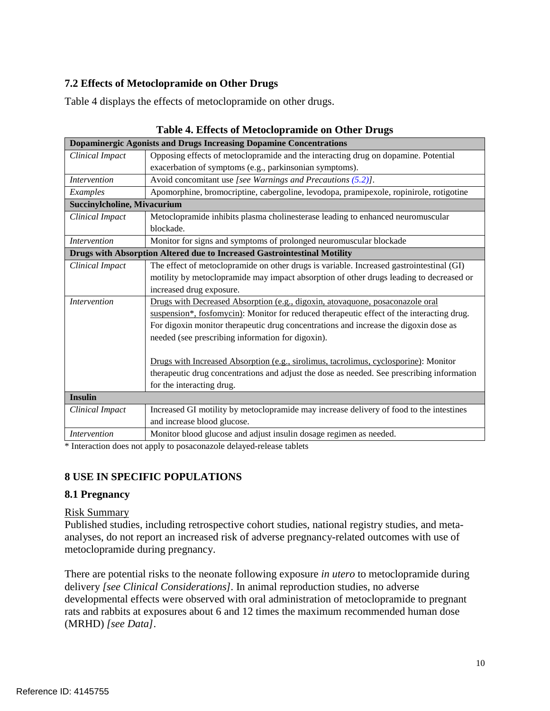# <span id="page-9-0"></span> **7.2 Effects of Metoclopramide on Other Drugs**

Table 4 displays the effects of metoclopramide on other drugs.

| <b>Dopaminergic Agonists and Drugs Increasing Dopamine Concentrations</b> |                                                                                              |  |
|---------------------------------------------------------------------------|----------------------------------------------------------------------------------------------|--|
| Clinical Impact                                                           | Opposing effects of metoclopramide and the interacting drug on dopamine. Potential           |  |
|                                                                           | exacerbation of symptoms (e.g., parkinsonian symptoms).                                      |  |
| <b>Intervention</b>                                                       | Avoid concomitant use [see Warnings and Precautions $(5.2)$ ].                               |  |
| Examples                                                                  | Apomorphine, bromocriptine, cabergoline, levodopa, pramipexole, ropinirole, rotigotine       |  |
| <b>Succinylcholine, Mivacurium</b>                                        |                                                                                              |  |
| Clinical Impact                                                           | Metoclopramide inhibits plasma cholinesterase leading to enhanced neuromuscular<br>blockade. |  |
| <b>Intervention</b>                                                       | Monitor for signs and symptoms of prolonged neuromuscular blockade                           |  |
| Drugs with Absorption Altered due to Increased Gastrointestinal Motility  |                                                                                              |  |
| Clinical Impact                                                           | The effect of metoclopramide on other drugs is variable. Increased gastrointestinal (GI)     |  |
|                                                                           | motility by metoclopramide may impact absorption of other drugs leading to decreased or      |  |
|                                                                           | increased drug exposure.                                                                     |  |
| <i>Intervention</i>                                                       | Drugs with Decreased Absorption (e.g., digoxin, atovaquone, posaconazole oral                |  |
|                                                                           | suspension*, fosfomycin): Monitor for reduced therapeutic effect of the interacting drug.    |  |
|                                                                           | For digoxin monitor therapeutic drug concentrations and increase the digoxin dose as         |  |
|                                                                           | needed (see prescribing information for digoxin).                                            |  |
|                                                                           |                                                                                              |  |
|                                                                           | Drugs with Increased Absorption (e.g., sirolimus, tacrolimus, cyclosporine): Monitor         |  |
|                                                                           | therapeutic drug concentrations and adjust the dose as needed. See prescribing information   |  |
|                                                                           | for the interacting drug.                                                                    |  |
| <b>Insulin</b>                                                            |                                                                                              |  |
| Clinical Impact                                                           | Increased GI motility by metoclopramide may increase delivery of food to the intestines      |  |
|                                                                           | and increase blood glucose.                                                                  |  |
| Intervention                                                              | Monitor blood glucose and adjust insulin dosage regimen as needed.                           |  |

 **Table 4. Effects of Metoclopramide on Other Drugs** 

\* Interaction does not apply to posaconazole delayed-release tablets

# **8 USE IN SPECIFIC POPULATIONS**

## **8.1 Pregnancy**

## Risk Summary

 Published studies, including retrospective cohort studies, national registry studies, and meta- analyses, do not report an increased risk of adverse pregnancy-related outcomes with use of metoclopramide during pregnancy.

 There are potential risks to the neonate following exposure *in utero* to metoclopramide during delivery [see Clinical Considerations]. In animal reproduction studies, no adverse developmental effects were observed with oral administration of metoclopramide to pregnant rats and rabbits at exposures about 6 and 12 times the maximum recommended human dose (MRHD) *[see Data]*.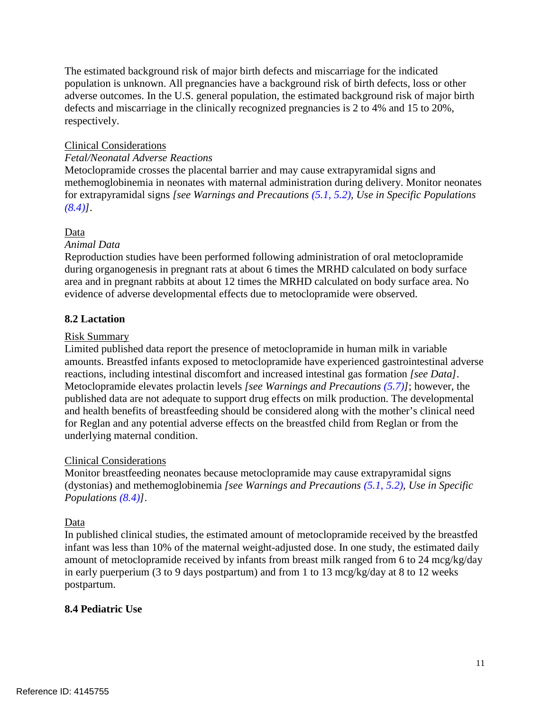The estimated background risk of major birth defects and miscarriage for the indicated population is unknown. All pregnancies have a background risk of birth defects, loss or other adverse outcomes. In the U.S. general population, the estimated background risk of major birth defects and miscarriage in the clinically recognized pregnancies is 2 to 4% and 15 to 20%, respectively.

# Clinical Considerations

## *Fetal/Neonatal Adverse Reactions*

 Metoclopramide crosses the placental barrier and may cause extrapyramidal signs and methemoglobinemia in neonates with maternal administration during delivery. Monitor neonates  for extrapyramidal signs *[see Warnings and Precautions [\(5.1,](#page-4-0) [5.2\)](#page-4-1), Use in Specific Populations [\(8.4\)](#page-10-0)]*.

## Data

## *Animal Data*

 Reproduction studies have been performed following administration of oral metoclopramide during organogenesis in pregnant rats at about 6 times the MRHD calculated on body surface area and in pregnant rabbits at about 12 times the MRHD calculated on body surface area. No evidence of adverse developmental effects due to metoclopramide were observed.

## **8.2 Lactation**

#### Risk Summary

 Limited published data report the presence of metoclopramide in human milk in variable amounts. Breastfed infants exposed to metoclopramide have experienced gastrointestinal adverse reactions, including intestinal discomfort and increased intestinal gas formation *[see Data]*. Metoclopramide elevates prolactin levels *[see Warnings and Precautions [\(5.7\)](#page-6-0)]*; however, the published data are not adequate to support drug effects on milk production. The developmental and health benefits of breastfeeding should be considered along with the mother's clinical need for Reglan and any potential adverse effects on the breastfed child from Reglan or from the underlying maternal condition.

## Clinical Considerations

 Monitor breastfeeding neonates because metoclopramide may cause extrapyramidal signs (dystonias) and methemoglobinemia *[see Warnings and Precautions [\(5.1,](#page-4-0) [5.2\)](#page-4-1), Use in Specific Populations [\(8.4\)](#page-10-0)]*.

## Data

 In published clinical studies, the estimated amount of metoclopramide received by the breastfed infant was less than 10% of the maternal weight-adjusted dose. In one study, the estimated daily amount of metoclopramide received by infants from breast milk ranged from 6 to 24 mcg/kg/day in early puerperium (3 to 9 days postpartum) and from 1 to 13 mcg/kg/day at 8 to 12 weeks postpartum.

## <span id="page-10-0"></span>**8.4 Pediatric Use**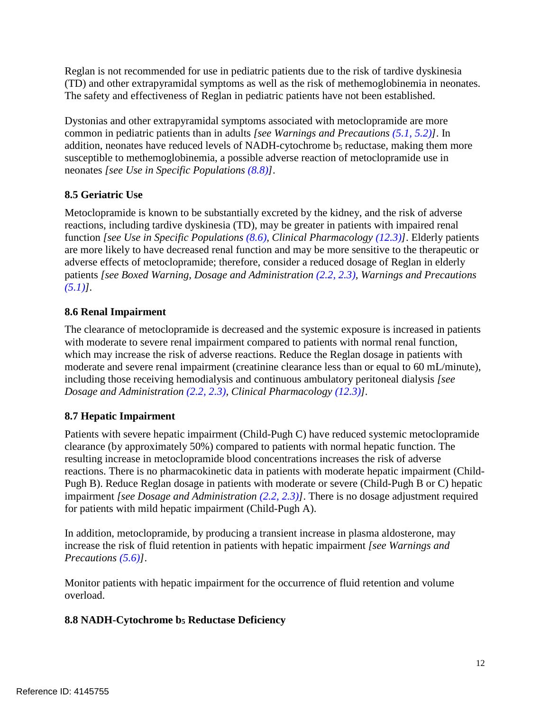Reglan is not recommended for use in pediatric patients due to the risk of tardive dyskinesia (TD) and other extrapyramidal symptoms as well as the risk of methemoglobinemia in neonates. The safety and effectiveness of Reglan in pediatric patients have not been established.

 Dystonias and other extrapyramidal symptoms associated with metoclopramide are more common in pediatric patients than in adults *[see Warnings and Precautions [\(5.1,](#page-4-0) [5.2\)](#page-4-1)]*. In addition, neonates have reduced levels of NADH-cytochrome b5 reductase, making them more susceptible to methemoglobinemia, a possible adverse reaction of metoclopramide use in  neonates *[see Use in Specific Populations [\(8.8\)](#page-11-3)]*.

# <span id="page-11-0"></span>**8.5 Geriatric Use**

 Metoclopramide is known to be substantially excreted by the kidney, and the risk of adverse reactions, including tardive dyskinesia (TD), may be greater in patients with impaired renal  function *[see Use in Specific Populations [\(8.6\)](#page-11-2), Clinical Pharmacology [\(12.3\)](#page-13-0)]*. Elderly patients are more likely to have decreased renal function and may be more sensitive to the therapeutic or adverse effects of metoclopramide; therefore, consider a reduced dosage of Reglan in elderly  patients *[see Boxed Warning, Dosage and Administration [\(2.2,](#page-1-1) [2.3\)](#page-2-0), Warnings and Precautions [\(5.1\)](#page-4-0)].* 

# <span id="page-11-2"></span>**8.6 Renal Impairment**

 The clearance of metoclopramide is decreased and the systemic exposure is increased in patients with moderate to severe renal impairment compared to patients with normal renal function, which may increase the risk of adverse reactions. Reduce the Reglan dosage in patients with moderate and severe renal impairment (creatinine clearance less than or equal to 60 mL/minute), including those receiving hemodialysis and continuous ambulatory peritoneal dialysis *[see Dosage and Administration [\(2.2,](#page-1-1) [2.3\)](#page-2-0), Clinical Pharmacology [\(12.3\)](#page-13-0)].* 

# <span id="page-11-1"></span>**8.7 Hepatic Impairment**

 Patients with severe hepatic impairment (Child-Pugh C) have reduced systemic metoclopramide clearance (by approximately 50%) compared to patients with normal hepatic function. The resulting increase in metoclopramide blood concentrations increases the risk of adverse reactions. There is no pharmacokinetic data in patients with moderate hepatic impairment (Child- Pugh B). Reduce Reglan dosage in patients with moderate or severe (Child-Pugh B or C) hepatic  impairment *[see Dosage and Administration [\(2.2,](#page-1-1) [2.3\)](#page-2-0)]*. There is no dosage adjustment required for patients with mild hepatic impairment (Child-Pugh A).

 In addition, metoclopramide, by producing a transient increase in plasma aldosterone, may increase the risk of fluid retention in patients with hepatic impairment *[see Warnings and Precautions [\(5.6\)](#page-6-3)]*.

 Monitor patients with hepatic impairment for the occurrence of fluid retention and volume overload.

# <span id="page-11-3"></span>**8.8 NADH-Cytochrome b5 Reductase Deficiency**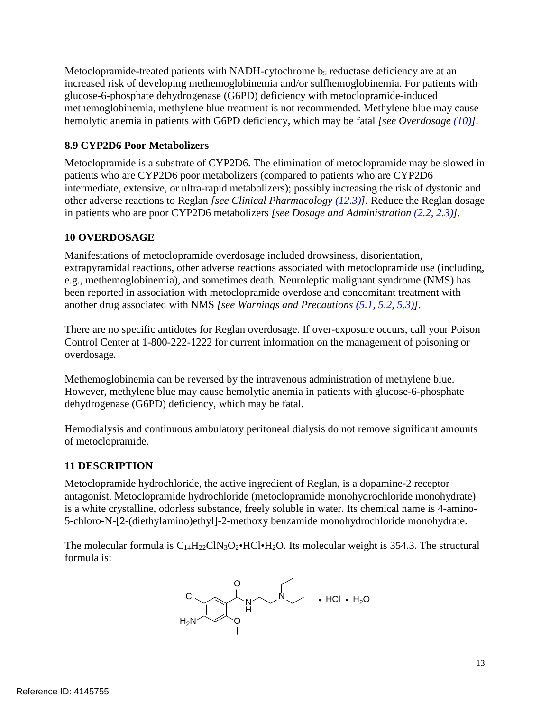Metoclopramide-treated patients with NADH-cytochrome b5 reductase deficiency are at an increased risk of developing methemoglobinemia and/or sulfhemoglobinemia. For patients with glucose-6-phosphate dehydrogenase (G6PD) deficiency with metoclopramide-induced methemoglobinemia, methylene blue treatment is not recommended. Methylene blue may cause hemolytic anemia in patients with G6PD deficiency, which may be fatal *[see Overdosage [\(10\)](#page-12-1)].* 

# <span id="page-12-0"></span> **8.9 CYP2D6 Poor Metabolizers**

 Metoclopramide is a substrate of CYP2D6. The elimination of metoclopramide may be slowed in patients who are CYP2D6 poor metabolizers (compared to patients who are CYP2D6 intermediate, extensive, or ultra-rapid metabolizers); possibly increasing the risk of dystonic and other adverse reactions to Reglan *[see Clinical Pharmacology [\(12.3\)](#page-13-0)].* Reduce the Reglan dosage in patients who are poor CYP2D6 metabolizers *[see Dosage and Administration [\(2.2,](#page-1-1) [2.3\)](#page-2-0)].* 

# <span id="page-12-1"></span>**10 OVERDOSAGE**

 Manifestations of metoclopramide overdosage included drowsiness, disorientation, extrapyramidal reactions, other adverse reactions associated with metoclopramide use (including, e.g., methemoglobinemia), and sometimes death. Neuroleptic malignant syndrome (NMS) has been reported in association with metoclopramide overdose and concomitant treatment with another drug associated with NMS *[see Warnings and Precautions [\(5.1,](#page-4-0) [5.2,](#page-4-1) [5.3\)](#page-5-0)].* 

 There are no specific antidotes for Reglan overdosage. If over-exposure occurs, call your Poison Control Center at 1-800-222-1222 for current information on the management of poisoning or overdosage*.* 

 Methemoglobinemia can be reversed by the intravenous administration of methylene blue. However, methylene blue may cause hemolytic anemia in patients with glucose-6-phosphate dehydrogenase (G6PD) deficiency, which may be fatal.

 Hemodialysis and continuous ambulatory peritoneal dialysis do not remove significant amounts of metoclopramide.

# **11 DESCRIPTION**

 Metoclopramide hydrochloride, the active ingredient of Reglan, is a dopamine-2 receptor is a white crystalline, odorless substance, freely soluble in water. Its chemical name is 4-amino- 5-chloro-N-[2-(diethylamino)ethyl]-2-methoxy benzamide monohydrochloride monohydrate. antagonist. Metoclopramide hydrochloride (metoclopramide monohydrochloride monohydrate)

The molecular formula is  $C_{14}H_{22}CN_3O_2 \cdot HC \cdot H_2O$ . Its molecular weight is 354.3. The structural formula is:

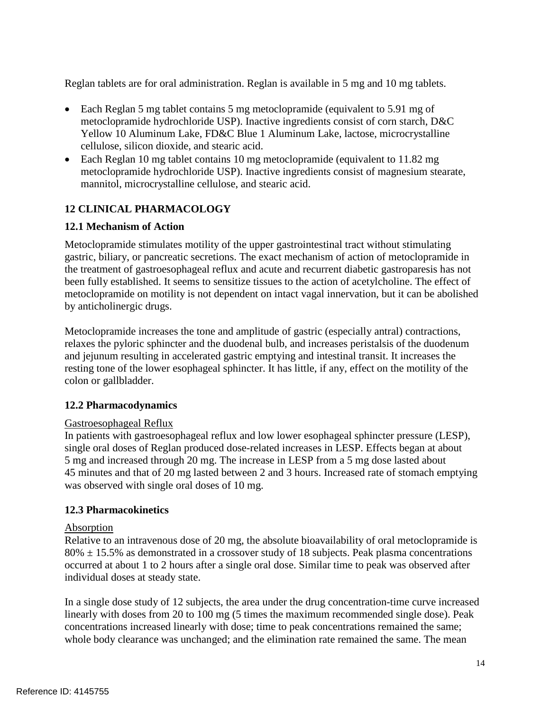Reglan tablets are for oral administration. Reglan is available in 5 mg and 10 mg tablets.

- Each Reglan 5 mg tablet contains 5 mg metoclopramide (equivalent to 5.91 mg of metoclopramide hydrochloride USP). Inactive ingredients consist of corn starch, D&C Yellow 10 Aluminum Lake, FD&C Blue 1 Aluminum Lake, lactose, microcrystalline cellulose, silicon dioxide, and stearic acid.
- Each Reglan 10 mg tablet contains 10 mg metoclopramide (equivalent to 11.82 mg metoclopramide hydrochloride USP). Inactive ingredients consist of magnesium stearate, mannitol, microcrystalline cellulose, and stearic acid.

# **12 CLINICAL PHARMACOLOGY**

# **12.1 Mechanism of Action**

 Metoclopramide stimulates motility of the upper gastrointestinal tract without stimulating gastric, biliary, or pancreatic secretions. The exact mechanism of action of metoclopramide in the treatment of gastroesophageal reflux and acute and recurrent diabetic gastroparesis has not been fully established. It seems to sensitize tissues to the action of acetylcholine. The effect of metoclopramide on motility is not dependent on intact vagal innervation, but it can be abolished by anticholinergic drugs.

 Metoclopramide increases the tone and amplitude of gastric (especially antral) contractions, relaxes the pyloric sphincter and the duodenal bulb, and increases peristalsis of the duodenum and jejunum resulting in accelerated gastric emptying and intestinal transit. It increases the resting tone of the lower esophageal sphincter. It has little, if any, effect on the motility of the colon or gallbladder.

## **12.2 Pharmacodynamics**

# Gastroesophageal Reflux

 In patients with gastroesophageal reflux and low lower esophageal sphincter pressure (LESP), single oral doses of Reglan produced dose-related increases in LESP. Effects began at about 5 mg and increased through 20 mg. The increase in LESP from a 5 mg dose lasted about 45 minutes and that of 20 mg lasted between 2 and 3 hours. Increased rate of stomach emptying was observed with single oral doses of 10 mg.

# <span id="page-13-0"></span>**12.3 Pharmacokinetics**

## Absorption

 Relative to an intravenous dose of 20 mg, the absolute bioavailability of oral metoclopramide is  $80\% \pm 15.5\%$  as demonstrated in a crossover study of 18 subjects. Peak plasma concentrations occurred at about 1 to 2 hours after a single oral dose. Similar time to peak was observed after individual doses at steady state.

 In a single dose study of 12 subjects, the area under the drug concentration-time curve increased linearly with doses from 20 to 100 mg (5 times the maximum recommended single dose). Peak concentrations increased linearly with dose; time to peak concentrations remained the same; whole body clearance was unchanged; and the elimination rate remained the same. The mean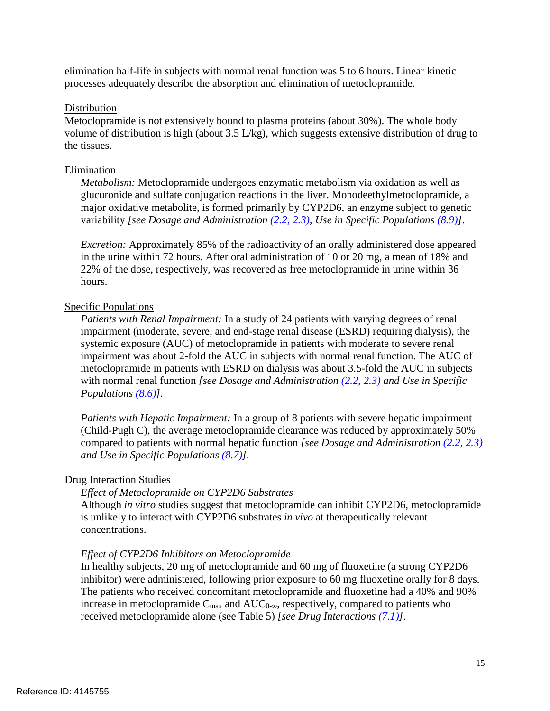elimination half-life in subjects with normal renal function was 5 to 6 hours. Linear kinetic processes adequately describe the absorption and elimination of metoclopramide.

#### Distribution

 Metoclopramide is not extensively bound to plasma proteins (about 30%). The whole body volume of distribution is high (about 3.5 L/kg), which suggests extensive distribution of drug to the tissues.

## Elimination

 *Metabolism:* Metoclopramide undergoes enzymatic metabolism via oxidation as well as glucuronide and sulfate conjugation reactions in the liver. Monodeethylmetoclopramide, a major oxidative metabolite, is formed primarily by CYP2D6, an enzyme subject to genetic  variability *[see Dosage and Administration [\(2.2,](#page-1-1) [2.3\)](#page-2-0), Use in Specific Populations [\(8.9\)](#page-12-0)]*.

 *Excretion:* Approximately 85% of the radioactivity of an orally administered dose appeared in the urine within 72 hours. After oral administration of 10 or 20 mg, a mean of 18% and 22% of the dose, respectively, was recovered as free metoclopramide in urine within 36 hours.

# hours.<br>Specific Populations

Patients with Renal Impairment: In a study of 24 patients with varying degrees of renal impairment (moderate, severe, and end-stage renal disease (ESRD) requiring dialysis), the systemic exposure (AUC) of metoclopramide in patients with moderate to severe renal impairment was about 2-fold the AUC in subjects with normal renal function. The AUC of metoclopramide in patients with ESRD on dialysis was about 3.5-fold the AUC in subjects with normal renal function *[see Dosage and Administration [\(2.2,](#page-1-1) [2.3\)](#page-2-0) and Use in Specific Populations [\(8.6\)](#page-11-2)].* 

Patients with Hepatic Impairment: In a group of 8 patients with severe hepatic impairment (Child-Pugh C), the average metoclopramide clearance was reduced by approximately 50% compared to patients with normal hepatic function *[see Dosage and Administration [\(2.2,](#page-1-1) [2.3\)](#page-2-0) and Use in Specific Populations [\(8.7\)](#page-11-1)].* 

## **Drug Interaction Studies**

# *Effect of Metoclopramide on CYP2D6 Substrates*

 Although *in vitro* studies suggest that metoclopramide can inhibit CYP2D6, metoclopramide is unlikely to interact with CYP2D6 substrates *in vivo* at therapeutically relevant concentrations.

# *Effect of CYP2D6 Inhibitors on Metoclopramide*

 In healthy subjects, 20 mg of metoclopramide and 60 mg of fluoxetine (a strong CYP2D6 inhibitor) were administered, following prior exposure to 60 mg fluoxetine orally for 8 days. The patients who received concomitant metoclopramide and fluoxetine had a 40% and 90% increase in metoclopramide  $C_{\text{max}}$  and  $AUC_{0-\infty}$ , respectively, compared to patients who received metoclopramide alone (see Table 5) *[see Drug Interactions [\(7.1\)](#page-8-0)]*.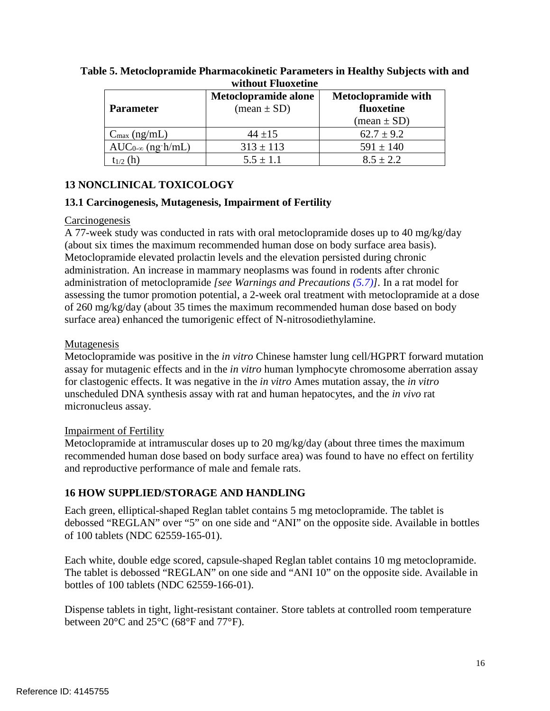| <u>niunvut 1 iuvavainv</u> |                                                       |                                          |  |  |
|----------------------------|-------------------------------------------------------|------------------------------------------|--|--|
| <b>Parameter</b>           | Metoclopramide alone<br>$(\text{mean} \pm \text{SD})$ | <b>Metoclopramide with</b><br>fluoxetine |  |  |
|                            |                                                       | $(\text{mean} \pm \text{SD})$            |  |  |
| $C_{\text{max}}$ (ng/mL)   | $44 + 15$                                             | $62.7 \pm 9.2$                           |  |  |
| $AUC_{0-\infty}$ (ng h/mL) | $313 \pm 113$                                         | $591 \pm 140$                            |  |  |
| $t_{1/2}$ (h)              | $5.5 \pm 1.1$                                         | $8.5 \pm 2.2$                            |  |  |

# **Table 5. Metoclopramide Pharmacokinetic Parameters in Healthy Subjects with and without Fluoxetine**

# **13 NONCLINICAL TOXICOLOGY**

# <span id="page-15-0"></span> **13.1 Carcinogenesis, Mutagenesis, Impairment of Fertility**

## Carcinogenesis

Carcinogenesis<br>A 77-week study was conducted in rats with oral metoclopramide doses up to 40 mg/kg/day (about six times the maximum recommended human dose on body surface area basis). Metoclopramide elevated prolactin levels and the elevation persisted during chronic administration. An increase in mammary neoplasms was found in rodents after chronic administration of metoclopramide *[see Warnings and Precautions [\(5.7\)](#page-6-0)].* In a rat model for assessing the tumor promotion potential, a 2-week oral treatment with metoclopramide at a dose of 260 mg/kg/day (about 35 times the maximum recommended human dose based on body surface area) enhanced the tumorigenic effect of N-nitrosodiethylamine.

## Mutagenesis

Mutagenesis<br>Metoclopramide was positive in the *in vitro* Chinese hamster lung cell/HGPRT forward mutation assay for mutagenic effects and in the *in vitro* human lymphocyte chromosome aberration assay for clastogenic effects. It was negative in the *in vitro* Ames mutation assay, the *in vitro*  unscheduled DNA synthesis assay with rat and human hepatocytes, and the *in vivo* rat micronucleus assay.

# **Impairment of Fertility**

 Metoclopramide at intramuscular doses up to 20 mg/kg/day (about three times the maximum recommended human dose based on body surface area) was found to have no effect on fertility and reproductive performance of male and female rats.

# **16 HOW SUPPLIED/STORAGE AND HANDLING**

 Each green, elliptical-shaped Reglan tablet contains 5 mg metoclopramide. The tablet is debossed "REGLAN" over "5" on one side and "ANI" on the opposite side. Available in bottles of 100 tablets (NDC 62559-165-01).

 Each white, double edge scored, capsule-shaped Reglan tablet contains 10 mg metoclopramide. The tablet is debossed "REGLAN" on one side and "ANI 10" on the opposite side. Available in bottles of 100 tablets (NDC 62559-166-01).

 Dispense tablets in tight, light-resistant container. Store tablets at controlled room temperature between  $20^{\circ}$ C and  $25^{\circ}$ C (68 $^{\circ}$ F and 77 $^{\circ}$ F).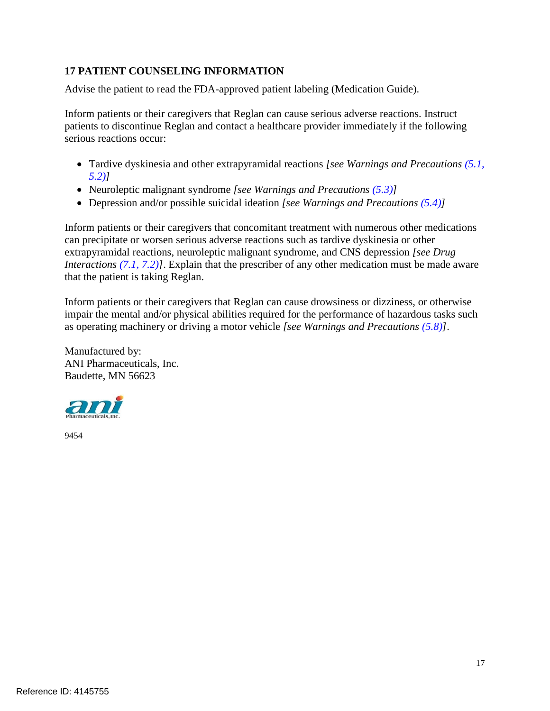# <span id="page-16-0"></span>**17 PATIENT COUNSELING INFORMATION**

Advise the patient to read the FDA-approved patient labeling (Medication Guide).

 Inform patients or their caregivers that Reglan can cause serious adverse reactions. Instruct patients to discontinue Reglan and contact a healthcare provider immediately if the following serious reactions occur:

- • Tardive dyskinesia and other extrapyramidal reactions *[see Warnings and Precautions [\(5.1,](#page-4-0) [5.2\)](#page-4-1)]*
- • Neuroleptic malignant syndrome *[see Warnings and Precautions [\(5.3\)](#page-5-0)]*
- • Depression and/or possible suicidal ideation *[see Warnings and Precautions [\(5.4\)](#page-5-1)]*

 Inform patients or their caregivers that concomitant treatment with numerous other medications can precipitate or worsen serious adverse reactions such as tardive dyskinesia or other extrapyramidal reactions, neuroleptic malignant syndrome, and CNS depression *[see Drug Interactions [\(7.1,](#page-8-0) [7.2\)](#page-9-0)]*. Explain that the prescriber of any other medication must be made aware that the patient is taking Reglan.

 Inform patients or their caregivers that Reglan can cause drowsiness or dizziness, or otherwise impair the mental and/or physical abilities required for the performance of hazardous tasks such as operating machinery or driving a motor vehicle *[see Warnings and Precautions [\(5.8\)](#page-6-4)]*.

 ANI Pharmaceuticals, Inc. Baudette, MN 56623 Manufactured by:



9454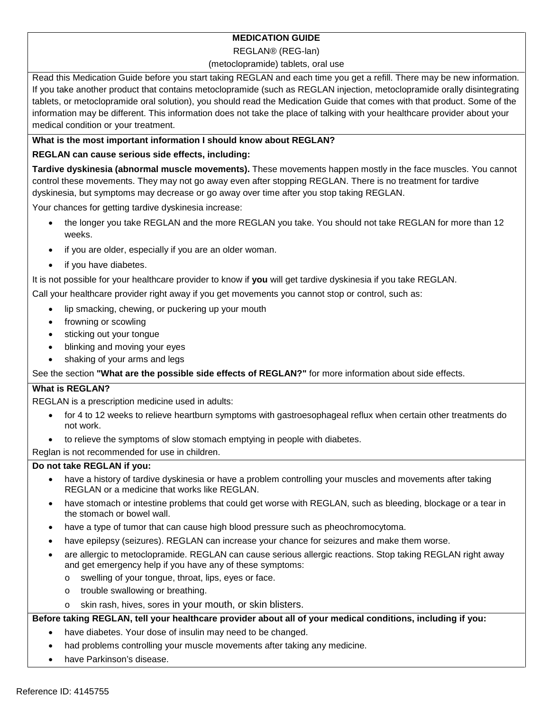# **MEDICATION GUIDE**

#### REGLAN® (REG-lan)

#### (metoclopramide) tablets, oral use

 Read this Medication Guide before you start taking REGLAN and each time you get a refill. There may be new information. If you take another product that contains metoclopramide (such as REGLAN injection, metoclopramide orally disintegrating tablets, or metoclopramide oral solution), you should read the Medication Guide that comes with that product. Some of the information may be different. This information does not take the place of talking with your healthcare provider about your medical condition or your treatment.

## **What is the most important information I should know about REGLAN?**

## **REGLAN can cause serious side effects, including:**

 **Tardive dyskinesia (abnormal muscle movements).** These movements happen mostly in the face muscles. You cannot control these movements. They may not go away even after stopping REGLAN. There is no treatment for tardive dyskinesia, but symptoms may decrease or go away over time after you stop taking REGLAN.

Your chances for getting tardive dyskinesia increase:

- • the longer you take REGLAN and the more REGLAN you take. You should not take REGLAN for more than 12 weeks.
- if you are older, especially if you are an older woman.
- if you have diabetes.

It is not possible for your healthcare provider to know if **you** will get tardive dyskinesia if you take REGLAN.

Call your healthcare provider right away if you get movements you cannot stop or control, such as:

- lip smacking, chewing, or puckering up your mouth
- frowning or scowling
- sticking out your tongue
- blinking and moving your eyes
- shaking of your arms and legs

See the section **"What are the possible side effects of REGLAN?"** for more information about side effects.

## **What is REGLAN?**

REGLAN is a prescription medicine used in adults:

- • for 4 to 12 weeks to relieve heartburn symptoms with gastroesophageal reflux when certain other treatments do not work.
- to relieve the symptoms of slow stomach emptying in people with diabetes.

Reglan is not recommended for use in children.

## **Do not take REGLAN if you:**

- • have a history of tardive dyskinesia or have a problem controlling your muscles and movements after taking REGLAN or a medicine that works like REGLAN.
- • have stomach or intestine problems that could get worse with REGLAN, such as bleeding, blockage or a tear in the stomach or bowel wall.
- have a type of tumor that can cause high blood pressure such as pheochromocytoma.
- have epilepsy (seizures). REGLAN can increase your chance for seizures and make them worse.
- • are allergic to metoclopramide. REGLAN can cause serious allergic reactions. Stop taking REGLAN right away and get emergency help if you have any of these symptoms:
	- o swelling of your tongue, throat, lips, eyes or face.
	- o trouble swallowing or breathing.
	- o skin rash, hives, sores in your mouth, or skin blisters.

## **Before taking REGLAN, tell your healthcare provider about all of your medical conditions, including if you:**

- have diabetes. Your dose of insulin may need to be changed.
- had problems controlling your muscle movements after taking any medicine.
- have Parkinson's disease.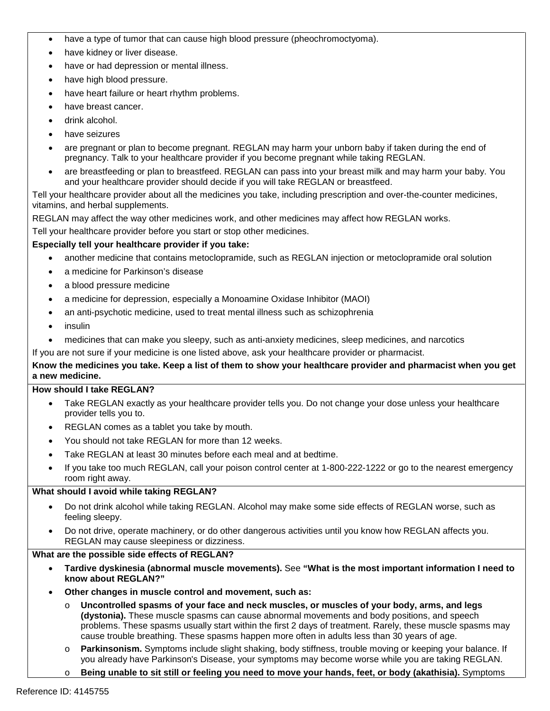- have a type of tumor that can cause high blood pressure (pheochromoctyoma).
- have kidney or liver disease.
- have or had depression or mental illness.
- have high blood pressure.
- have heart failure or heart rhythm problems.
- have breast cancer.
- drink alcohol.
- have seizures
- • are pregnant or plan to become pregnant. REGLAN may harm your unborn baby if taken during the end of pregnancy. Talk to your healthcare provider if you become pregnant while taking REGLAN.
- • are breastfeeding or plan to breastfeed. REGLAN can pass into your breast milk and may harm your baby. You and your healthcare provider should decide if you will take REGLAN or breastfeed.

 Tell your healthcare provider about all the medicines you take, including prescription and over-the-counter medicines, vitamins, and herbal supplements.

vitamins, and herbal supplements.<br>REGLAN may affect the way other medicines work, and other medicines may affect how REGLAN works.

Tell your healthcare provider before you start or stop other medicines.

#### **Especially tell your healthcare provider if you take:**

- another medicine that contains metoclopramide, such as REGLAN injection or metoclopramide oral solution
- a medicine for Parkinson's disease
- a blood pressure medicine
- a medicine for depression, especially a Monoamine Oxidase Inhibitor (MAOI)
- an anti-psychotic medicine, used to treat mental illness such as schizophrenia
- insulin
- medicines that can make you sleepy, such as anti-anxiety medicines, sleep medicines, and narcotics

#### If you are not sure if your medicine is one listed above, ask your healthcare provider or pharmacist.

#### **Know the medicines you take. Keep a list of them to show your healthcare provider and pharmacist when you get a new medicine.**

#### **How should I take REGLAN?**

- • Take REGLAN exactly as your healthcare provider tells you. Do not change your dose unless your healthcare provider tells you to.
- REGLAN comes as a tablet you take by mouth.
- You should not take REGLAN for more than 12 weeks.
- Take REGLAN at least 30 minutes before each meal and at bedtime.
- • If you take too much REGLAN, call your poison control center at 1-800-222-1222 or go to the nearest emergency room right away.

#### **What should I avoid while taking REGLAN?**

- • Do not drink alcohol while taking REGLAN. Alcohol may make some side effects of REGLAN worse, such as feeling sleepy.
- • Do not drive, operate machinery, or do other dangerous activities until you know how REGLAN affects you. REGLAN may cause sleepiness or dizziness.

#### **What are the possible side effects of REGLAN?**

- **Tardive dyskinesia (abnormal muscle movements).** See **"What is the most important information I need to know about REGLAN?"**
- **Other changes in muscle control and movement, such as:** 
	- o **Uncontrolled spasms of your face and neck muscles, or muscles of your body, arms, and legs (dystonia).** These muscle spasms can cause abnormal movements and body positions, and speech problems. These spasms usually start within the first 2 days of treatment. Rarely, these muscle spasms may cause trouble breathing. These spasms happen more often in adults less than 30 years of age.
	- o **Parkinsonism.** Symptoms include slight shaking, body stiffness, trouble moving or keeping your balance. If you already have Parkinson's Disease, your symptoms may become worse while you are taking REGLAN.
	- o **Being unable to sit still or feeling you need to move your hands, feet, or body (akathisia).** Symptoms